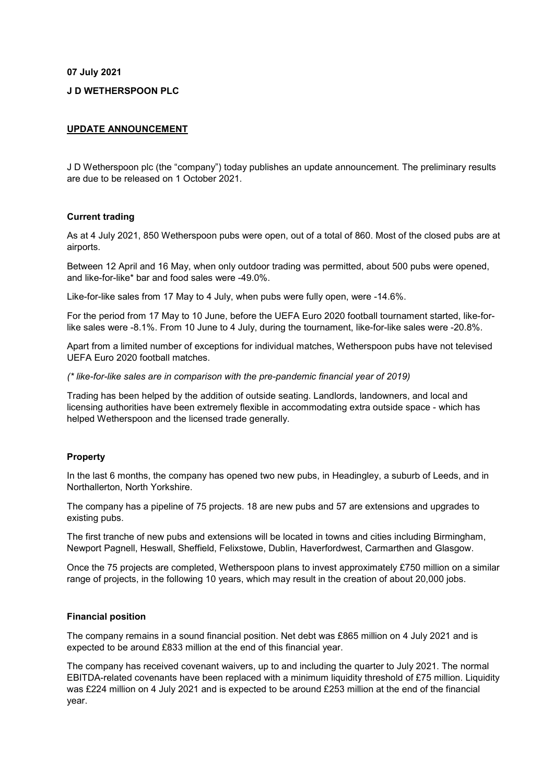**07 July 2021**

## **J D WETHERSPOON PLC**

## **UPDATE ANNOUNCEMENT**

J D Wetherspoon plc (the "company") today publishes an update announcement. The preliminary results are due to be released on 1 October 2021.

### **Current trading**

As at 4 July 2021, 850 Wetherspoon pubs were open, out of a total of 860. Most of the closed pubs are at airports.

Between 12 April and 16 May, when only outdoor trading was permitted, about 500 pubs were opened, and like-for-like\* bar and food sales were -49.0%.

Like-for-like sales from 17 May to 4 July, when pubs were fully open, were -14.6%.

For the period from 17 May to 10 June, before the UEFA Euro 2020 football tournament started, like-forlike sales were -8.1%. From 10 June to 4 July, during the tournament, like-for-like sales were -20.8%.

Apart from a limited number of exceptions for individual matches, Wetherspoon pubs have not televised UEFA Euro 2020 football matches.

*(\* like-for-like sales are in comparison with the pre-pandemic financial year of 2019)*

Trading has been helped by the addition of outside seating. Landlords, landowners, and local and licensing authorities have been extremely flexible in accommodating extra outside space - which has helped Wetherspoon and the licensed trade generally.

### **Property**

In the last 6 months, the company has opened two new pubs, in Headingley, a suburb of Leeds, and in Northallerton, North Yorkshire.

The company has a pipeline of 75 projects. 18 are new pubs and 57 are extensions and upgrades to existing pubs.

The first tranche of new pubs and extensions will be located in towns and cities including Birmingham, Newport Pagnell, Heswall, Sheffield, Felixstowe, Dublin, Haverfordwest, Carmarthen and Glasgow.

Once the 75 projects are completed, Wetherspoon plans to invest approximately £750 million on a similar range of projects, in the following 10 years, which may result in the creation of about 20,000 jobs.

# **Financial position**

The company remains in a sound financial position. Net debt was £865 million on 4 July 2021 and is expected to be around £833 million at the end of this financial year.

The company has received covenant waivers, up to and including the quarter to July 2021. The normal EBITDA-related covenants have been replaced with a minimum liquidity threshold of £75 million. Liquidity was £224 million on 4 July 2021 and is expected to be around £253 million at the end of the financial year.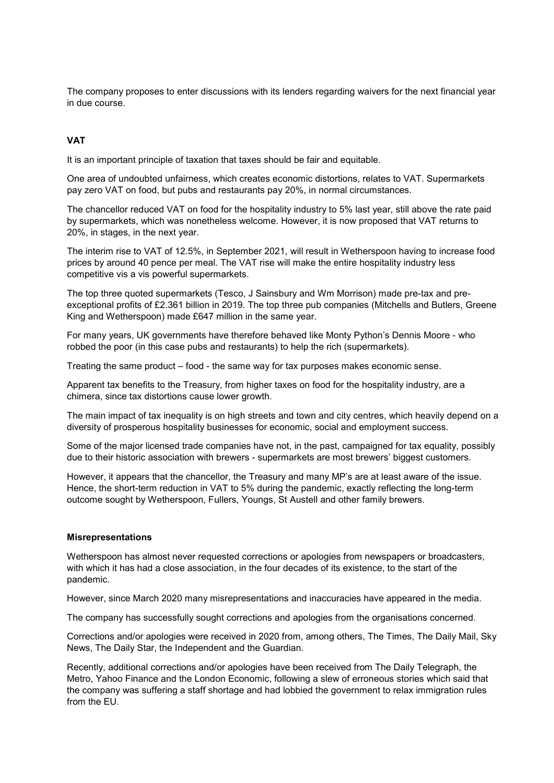The company proposes to enter discussions with its lenders regarding waivers for the next financial year in due course.

# **VAT**

It is an important principle of taxation that taxes should be fair and equitable.

One area of undoubted unfairness, which creates economic distortions, relates to VAT. Supermarkets pay zero VAT on food, but pubs and restaurants pay 20%, in normal circumstances.

The chancellor reduced VAT on food for the hospitality industry to 5% last year, still above the rate paid by supermarkets, which was nonetheless welcome. However, it is now proposed that VAT returns to 20%, in stages, in the next year.

The interim rise to VAT of 12.5%, in September 2021, will result in Wetherspoon having to increase food prices by around 40 pence per meal. The VAT rise will make the entire hospitality industry less competitive vis a vis powerful supermarkets.

The top three quoted supermarkets (Tesco, J Sainsbury and Wm Morrison) made pre-tax and preexceptional profits of £2.361 billion in 2019. The top three pub companies (Mitchells and Butlers, Greene King and Wetherspoon) made £647 million in the same year.

For many years, UK governments have therefore behaved like Monty Python's Dennis Moore - who robbed the poor (in this case pubs and restaurants) to help the rich (supermarkets).

Treating the same product – food - the same way for tax purposes makes economic sense.

Apparent tax benefits to the Treasury, from higher taxes on food for the hospitality industry, are a chimera, since tax distortions cause lower growth.

The main impact of tax inequality is on high streets and town and city centres, which heavily depend on a diversity of prosperous hospitality businesses for economic, social and employment success.

Some of the major licensed trade companies have not, in the past, campaigned for tax equality, possibly due to their historic association with brewers - supermarkets are most brewers' biggest customers.

However, it appears that the chancellor, the Treasury and many MP's are at least aware of the issue. Hence, the short-term reduction in VAT to 5% during the pandemic, exactly reflecting the long-term outcome sought by Wetherspoon, Fullers, Youngs, St Austell and other family brewers.

### **Misrepresentations**

Wetherspoon has almost never requested corrections or apologies from newspapers or broadcasters, with which it has had a close association, in the four decades of its existence, to the start of the pandemic.

However, since March 2020 many misrepresentations and inaccuracies have appeared in the media.

The company has successfully sought corrections and apologies from the organisations concerned.

Corrections and/or apologies were received in 2020 from, among others, The Times, The Daily Mail, Sky News, The Daily Star, the Independent and the Guardian.

Recently, additional corrections and/or apologies have been received from The Daily Telegraph, the Metro, Yahoo Finance and the London Economic, following a slew of erroneous stories which said that the company was suffering a staff shortage and had lobbied the government to relax immigration rules from the FU.